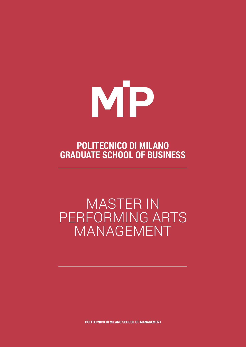

# **POLITECNICO DI MILANO GRADUATE SCHOOL OF BUSINESS**

# MASTER IN PERFORMING ARTS MANAGEMENT

**POLITECNICO DI MILANO SCHOOL OF MANAGEMENT**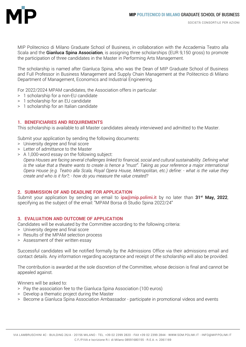

MIP Politecnico di Milano Graduate School of Business, in collaboration with the Accademia Teatro alla Scala and the Gianluca Spina Association, is assigning three scholarships (EUR 9,150 gross) to promote the participation of three candidates in the Master in Performing Arts Management.

The scholarship is named after Gianluca Spina, who was the Dean of MIP Graduate School of Business and Full Professor in Business Management and Supply Chain Management at the Politecnico di Milano Department of Management, Economics and Industrial Engineering.

For 2022/2024 MPAM candidates, the Association offers in particular:

- > 1 scholarship for a non-EU candidate
- > 1 scholarship for an EU candidate
- > 1 scholarship for an Italian candidate

#### **1. BENEFICIARIES AND REQUIREMENTS**

This scholarship is available to all Master candidates already interviewed and admitted to the Master.

Submit your application by sending the following documents:

- > University degree and final score
- > Letter of admittance to the Master
- > A 1,000-word essay on the following subject:

*Opera Houses are facing several challenges linked to financial, social and cultural sustainability. Defining what is the value that a theatre wants to create is hence a "must". Taking as your reference a major international Opera House (e.g. Teatro alla Scala, Royal Opera House, Metropolitan, etc.) define: - what is the value they create and who is it for?; - how do you measure the value created?*

# **2. SUBMISSION OF AND DEADLINE FOR APPLICATION**

Submit your application by sending an email to  $ipa@mip.polimi.it$  by no later than 31<sup>st</sup> May, 2022, specifying as the subject of the email: "MPAM Borsa di Studio Spina 2022/24"

# **3. EVALUATION AND OUTCOME OF APPLICATION**

Candidates will be evaluated by the Committee according to the following criteria:

- > University degree and final score
- > Results of the MPAM selection process
- > Assessment of their written essay

Successful candidates will be notified formally by the Admissions Office via their admissions email and contact details. Any information regarding acceptance and receipt of the scholarship will also be provided.

The contribution is awarded at the sole discretion of the Committee, whose decision is final and cannot be appealed against.

Winners will be asked to:

- > Pay the association fee to the Gianluca Spina Association (100 euros)
- > Develop a thematic project during the Master
- > Become a Gianluca Spina Association Ambassador participate in promotional videos and events